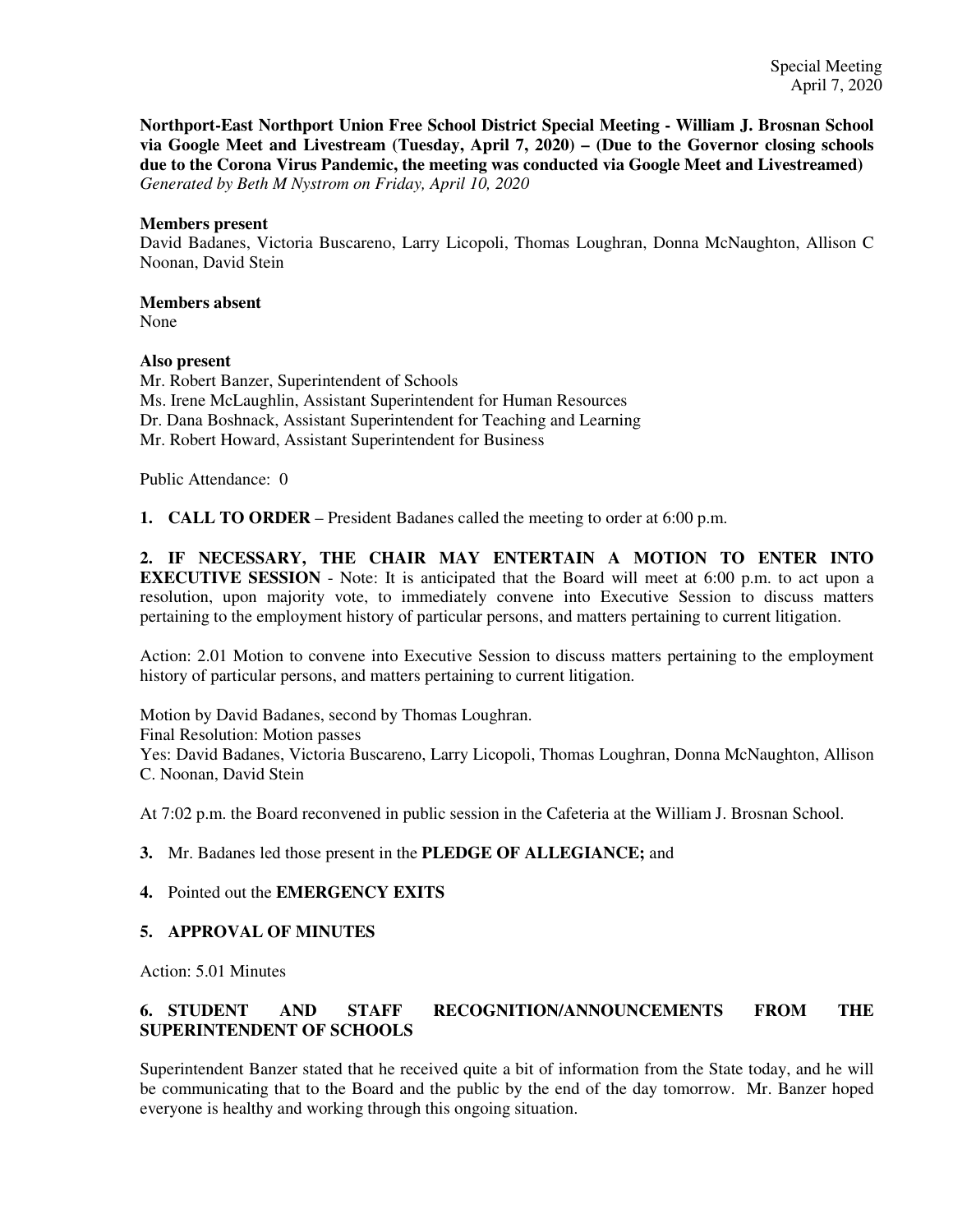**Northport-East Northport Union Free School District Special Meeting - William J. Brosnan School via Google Meet and Livestream (Tuesday, April 7, 2020) – (Due to the Governor closing schools due to the Corona Virus Pandemic, the meeting was conducted via Google Meet and Livestreamed)** *Generated by Beth M Nystrom on Friday, April 10, 2020*

#### **Members present**

David Badanes, Victoria Buscareno, Larry Licopoli, Thomas Loughran, Donna McNaughton, Allison C Noonan, David Stein

# **Members absent**

None

## **Also present**

Mr. Robert Banzer, Superintendent of Schools Ms. Irene McLaughlin, Assistant Superintendent for Human Resources Dr. Dana Boshnack, Assistant Superintendent for Teaching and Learning Mr. Robert Howard, Assistant Superintendent for Business

Public Attendance: 0

**1. CALL TO ORDER** – President Badanes called the meeting to order at 6:00 p.m.

**2. IF NECESSARY, THE CHAIR MAY ENTERTAIN A MOTION TO ENTER INTO EXECUTIVE SESSION** - Note: It is anticipated that the Board will meet at 6:00 p.m. to act upon a resolution, upon majority vote, to immediately convene into Executive Session to discuss matters pertaining to the employment history of particular persons, and matters pertaining to current litigation.

Action: 2.01 Motion to convene into Executive Session to discuss matters pertaining to the employment history of particular persons, and matters pertaining to current litigation.

Motion by David Badanes, second by Thomas Loughran. Final Resolution: Motion passes Yes: David Badanes, Victoria Buscareno, Larry Licopoli, Thomas Loughran, Donna McNaughton, Allison C. Noonan, David Stein

At 7:02 p.m. the Board reconvened in public session in the Cafeteria at the William J. Brosnan School.

## **3.** Mr. Badanes led those present in the **PLEDGE OF ALLEGIANCE;** and

## **4.** Pointed out the **EMERGENCY EXITS**

## **5. APPROVAL OF MINUTES**

Action: 5.01 Minutes

# **6. STUDENT AND STAFF RECOGNITION/ANNOUNCEMENTS FROM THE SUPERINTENDENT OF SCHOOLS**

Superintendent Banzer stated that he received quite a bit of information from the State today, and he will be communicating that to the Board and the public by the end of the day tomorrow. Mr. Banzer hoped everyone is healthy and working through this ongoing situation.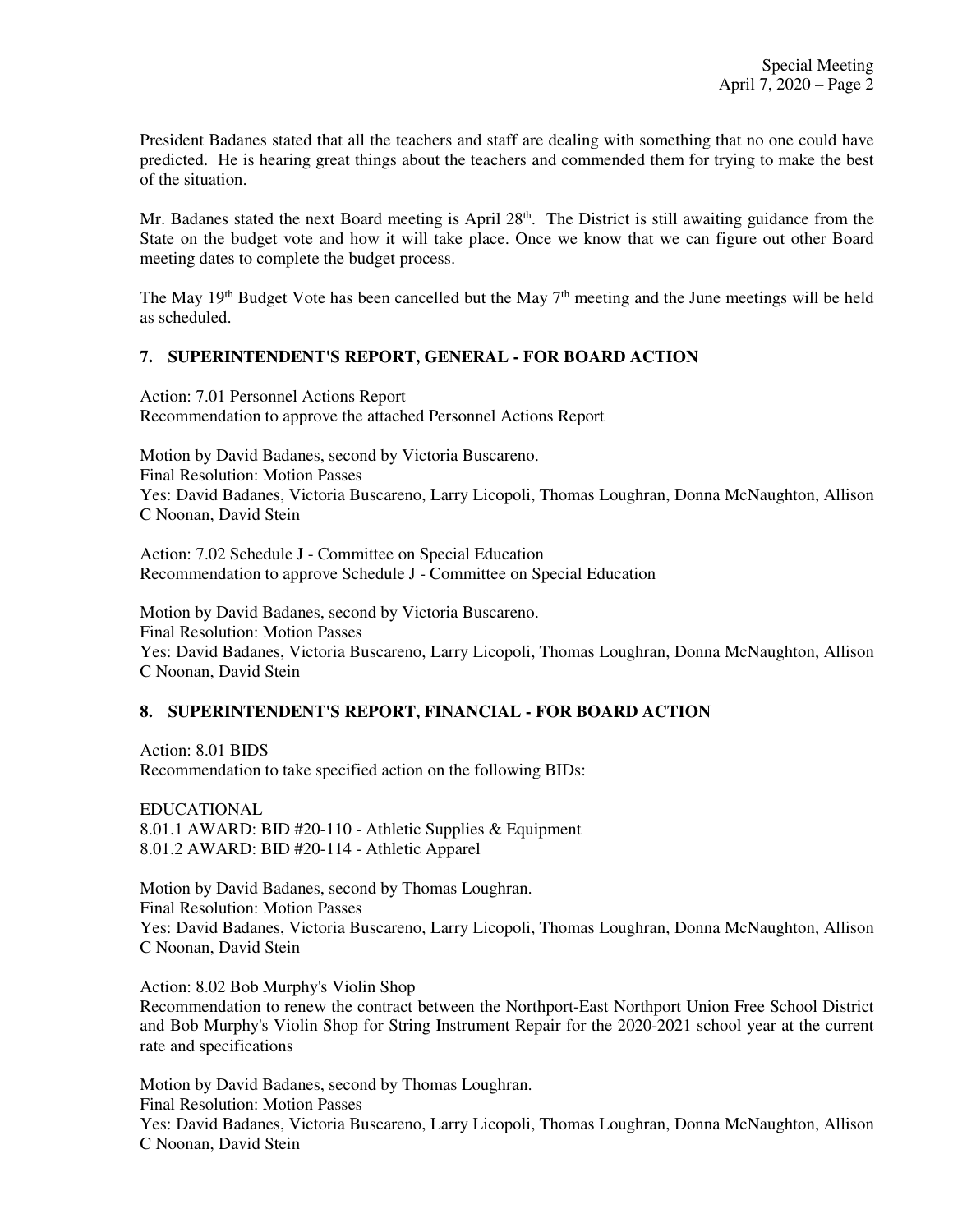President Badanes stated that all the teachers and staff are dealing with something that no one could have predicted. He is hearing great things about the teachers and commended them for trying to make the best of the situation.

Mr. Badanes stated the next Board meeting is April 28<sup>th</sup>. The District is still awaiting guidance from the State on the budget vote and how it will take place. Once we know that we can figure out other Board meeting dates to complete the budget process.

The May  $19<sup>th</sup>$  Budget Vote has been cancelled but the May  $7<sup>th</sup>$  meeting and the June meetings will be held as scheduled.

#### **7. SUPERINTENDENT'S REPORT, GENERAL - FOR BOARD ACTION**

Action: 7.01 Personnel Actions Report Recommendation to approve the attached Personnel Actions Report

Motion by David Badanes, second by Victoria Buscareno. Final Resolution: Motion Passes Yes: David Badanes, Victoria Buscareno, Larry Licopoli, Thomas Loughran, Donna McNaughton, Allison C Noonan, David Stein

Action: 7.02 Schedule J - Committee on Special Education Recommendation to approve Schedule J - Committee on Special Education

Motion by David Badanes, second by Victoria Buscareno. Final Resolution: Motion Passes Yes: David Badanes, Victoria Buscareno, Larry Licopoli, Thomas Loughran, Donna McNaughton, Allison C Noonan, David Stein

## **8. SUPERINTENDENT'S REPORT, FINANCIAL - FOR BOARD ACTION**

Action: 8.01 BIDS Recommendation to take specified action on the following BIDs:

EDUCATIONAL 8.01.1 AWARD: BID #20-110 - Athletic Supplies & Equipment 8.01.2 AWARD: BID #20-114 - Athletic Apparel

Motion by David Badanes, second by Thomas Loughran. Final Resolution: Motion Passes Yes: David Badanes, Victoria Buscareno, Larry Licopoli, Thomas Loughran, Donna McNaughton, Allison C Noonan, David Stein

Action: 8.02 Bob Murphy's Violin Shop

Recommendation to renew the contract between the Northport-East Northport Union Free School District and Bob Murphy's Violin Shop for String Instrument Repair for the 2020-2021 school year at the current rate and specifications

Motion by David Badanes, second by Thomas Loughran. Final Resolution: Motion Passes Yes: David Badanes, Victoria Buscareno, Larry Licopoli, Thomas Loughran, Donna McNaughton, Allison C Noonan, David Stein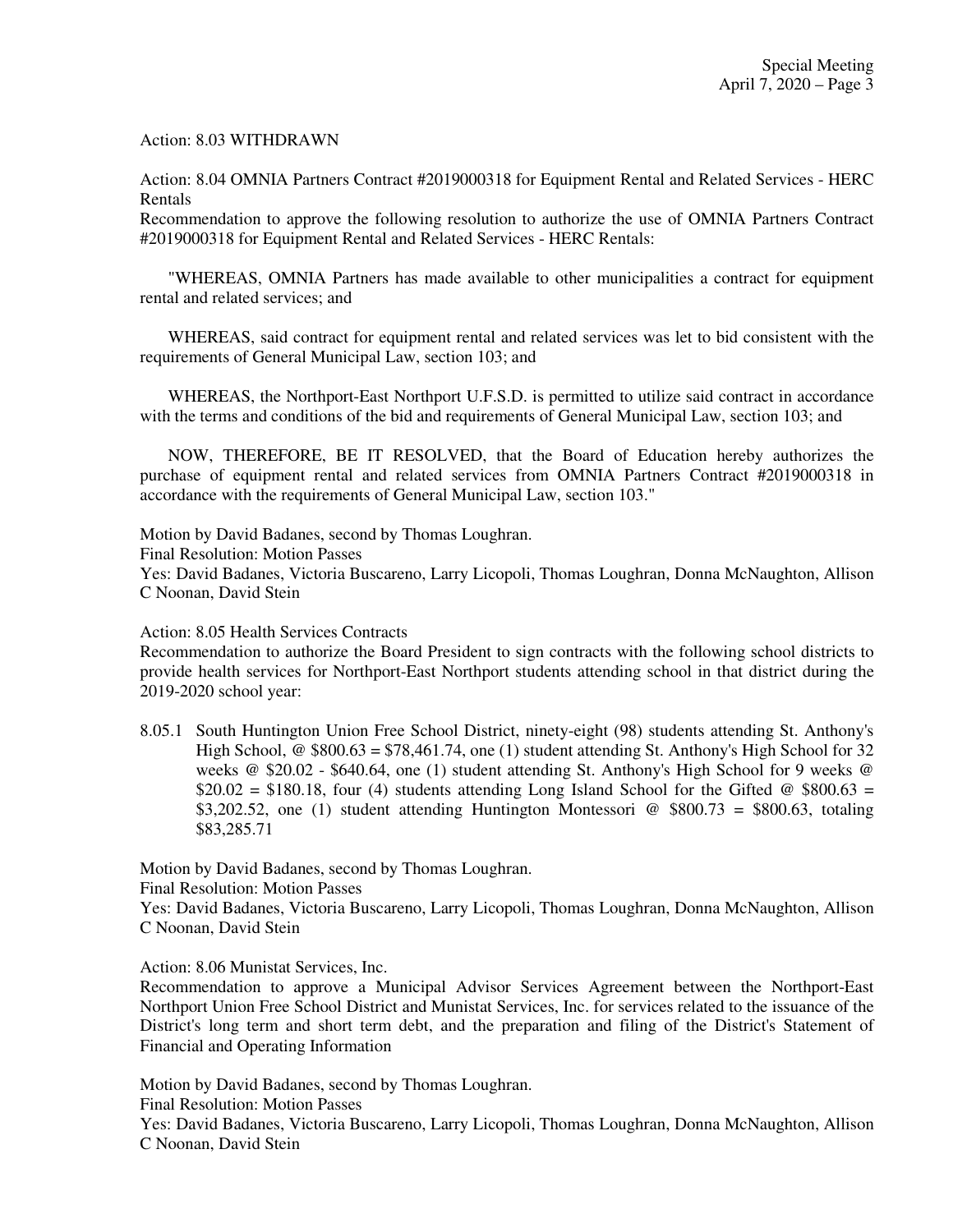Action: 8.03 WITHDRAWN

Action: 8.04 OMNIA Partners Contract #2019000318 for Equipment Rental and Related Services - HERC Rentals

Recommendation to approve the following resolution to authorize the use of OMNIA Partners Contract #2019000318 for Equipment Rental and Related Services - HERC Rentals:

"WHEREAS, OMNIA Partners has made available to other municipalities a contract for equipment rental and related services; and

WHEREAS, said contract for equipment rental and related services was let to bid consistent with the requirements of General Municipal Law, section 103; and

WHEREAS, the Northport-East Northport U.F.S.D. is permitted to utilize said contract in accordance with the terms and conditions of the bid and requirements of General Municipal Law, section 103; and

NOW, THEREFORE, BE IT RESOLVED, that the Board of Education hereby authorizes the purchase of equipment rental and related services from OMNIA Partners Contract #2019000318 in accordance with the requirements of General Municipal Law, section 103."

Motion by David Badanes, second by Thomas Loughran.

Final Resolution: Motion Passes

Yes: David Badanes, Victoria Buscareno, Larry Licopoli, Thomas Loughran, Donna McNaughton, Allison C Noonan, David Stein

Action: 8.05 Health Services Contracts

Recommendation to authorize the Board President to sign contracts with the following school districts to provide health services for Northport-East Northport students attending school in that district during the 2019-2020 school year:

8.05.1 South Huntington Union Free School District, ninety-eight (98) students attending St. Anthony's High School,  $\omega$  \$800.63 = \$78,461.74, one (1) student attending St. Anthony's High School for 32 weeks @ \$20.02 - \$640.64, one (1) student attending St. Anthony's High School for 9 weeks @  $$20.02 = $180.18$ , four (4) students attending Long Island School for the Gifted @ \$800.63 =  $$3,202.52$ , one (1) student attending Huntington Montessori @  $$800.73 = $800.63$ , totaling \$83,285.71

Motion by David Badanes, second by Thomas Loughran. Final Resolution: Motion Passes

Yes: David Badanes, Victoria Buscareno, Larry Licopoli, Thomas Loughran, Donna McNaughton, Allison C Noonan, David Stein

Action: 8.06 Munistat Services, Inc.

Recommendation to approve a Municipal Advisor Services Agreement between the Northport-East Northport Union Free School District and Munistat Services, Inc. for services related to the issuance of the District's long term and short term debt, and the preparation and filing of the District's Statement of Financial and Operating Information

Motion by David Badanes, second by Thomas Loughran.

Final Resolution: Motion Passes

Yes: David Badanes, Victoria Buscareno, Larry Licopoli, Thomas Loughran, Donna McNaughton, Allison C Noonan, David Stein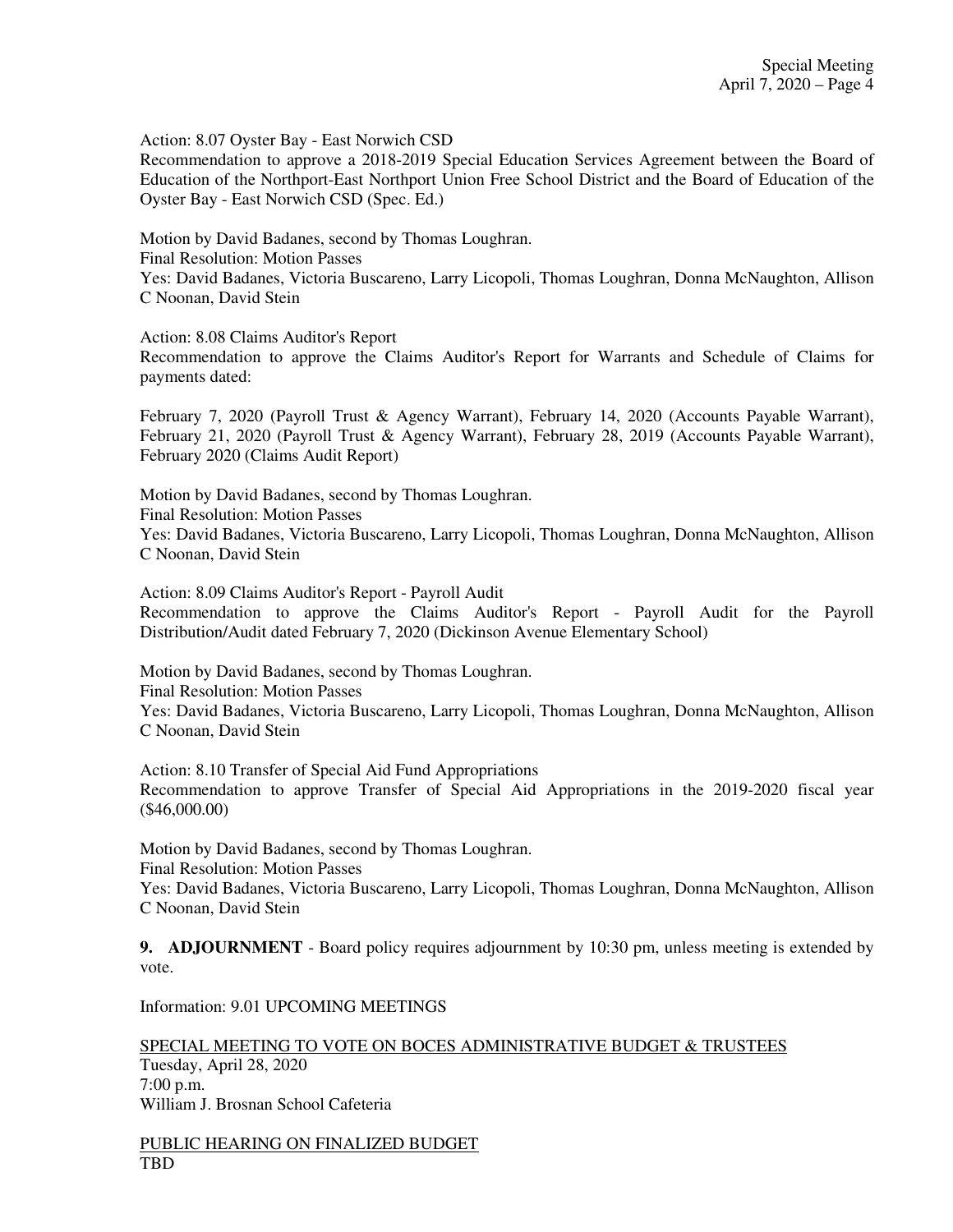Action: 8.07 Oyster Bay - East Norwich CSD

Recommendation to approve a 2018-2019 Special Education Services Agreement between the Board of Education of the Northport-East Northport Union Free School District and the Board of Education of the Oyster Bay - East Norwich CSD (Spec. Ed.)

Motion by David Badanes, second by Thomas Loughran. Final Resolution: Motion Passes Yes: David Badanes, Victoria Buscareno, Larry Licopoli, Thomas Loughran, Donna McNaughton, Allison C Noonan, David Stein

Action: 8.08 Claims Auditor's Report

Recommendation to approve the Claims Auditor's Report for Warrants and Schedule of Claims for payments dated:

February 7, 2020 (Payroll Trust & Agency Warrant), February 14, 2020 (Accounts Payable Warrant), February 21, 2020 (Payroll Trust & Agency Warrant), February 28, 2019 (Accounts Payable Warrant), February 2020 (Claims Audit Report)

Motion by David Badanes, second by Thomas Loughran. Final Resolution: Motion Passes Yes: David Badanes, Victoria Buscareno, Larry Licopoli, Thomas Loughran, Donna McNaughton, Allison C Noonan, David Stein

Action: 8.09 Claims Auditor's Report - Payroll Audit Recommendation to approve the Claims Auditor's Report - Payroll Audit for the Payroll Distribution/Audit dated February 7, 2020 (Dickinson Avenue Elementary School)

Motion by David Badanes, second by Thomas Loughran. Final Resolution: Motion Passes Yes: David Badanes, Victoria Buscareno, Larry Licopoli, Thomas Loughran, Donna McNaughton, Allison C Noonan, David Stein

Action: 8.10 Transfer of Special Aid Fund Appropriations Recommendation to approve Transfer of Special Aid Appropriations in the 2019-2020 fiscal year (\$46,000.00)

Motion by David Badanes, second by Thomas Loughran. Final Resolution: Motion Passes

Yes: David Badanes, Victoria Buscareno, Larry Licopoli, Thomas Loughran, Donna McNaughton, Allison C Noonan, David Stein

**9. ADJOURNMENT** - Board policy requires adjournment by 10:30 pm, unless meeting is extended by vote.

Information: 9.01 UPCOMING MEETINGS

SPECIAL MEETING TO VOTE ON BOCES ADMINISTRATIVE BUDGET & TRUSTEES Tuesday, April 28, 2020 7:00 p.m. William J. Brosnan School Cafeteria

PUBLIC HEARING ON FINALIZED BUDGET TBD